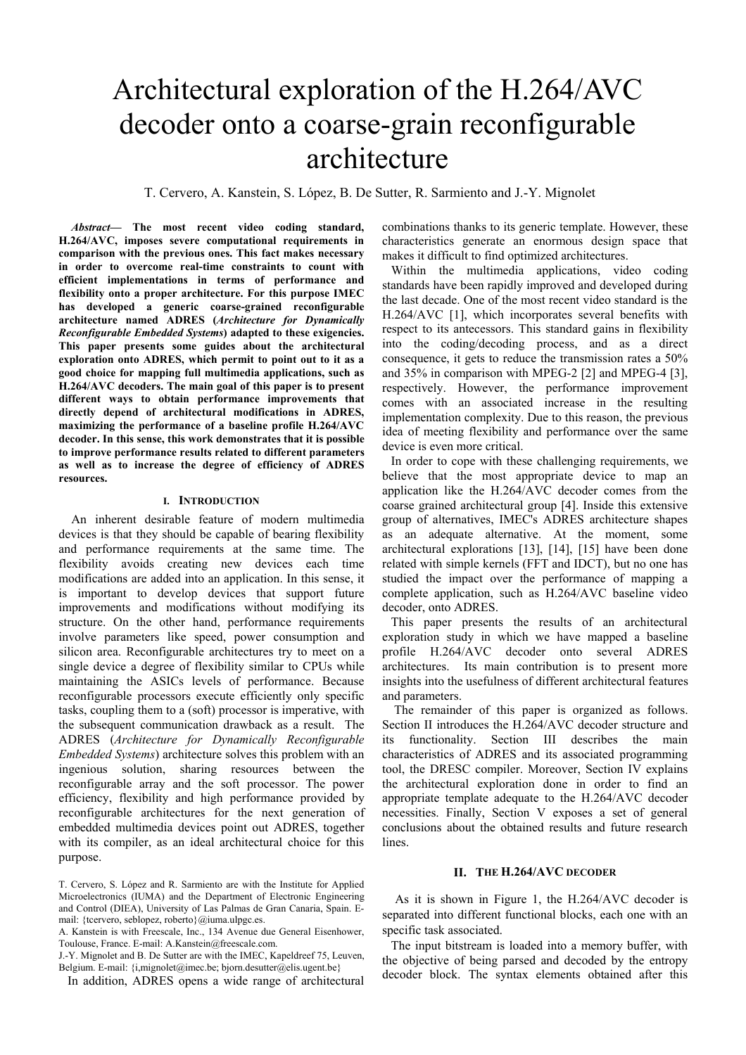# Architectural exploration of the H.264/AVC decoder onto a coarse-grain reconfigurable architecture

T. Cervero, A. Kanstein, S. López, B. De Sutter, R. Sarmiento and J.-Y. Mignolet

*Abstract***— The most recent video coding standard, H.264/AVC, imposes severe computational requirements in comparison with the previous ones. This fact makes necessary in order to overcome real-time constraints to count with efficient implementations in terms of performance and flexibility onto a proper architecture. For this purpose IMEC has developed a generic coarse-grained reconfigurable architecture named ADRES (***Architecture for Dynamically Reconfigurable Embedded Systems***) adapted to these exigencies. This paper presents some guides about the architectural exploration onto ADRES, which permit to point out to it as a good choice for mapping full multimedia applications, such as H.264/AVC decoders. The main goal of this paper is to present different ways to obtain performance improvements that directly depend of architectural modifications in ADRES, maximizing the performance of a baseline profile H.264/AVC decoder. In this sense, this work demonstrates that it is possible to improve performance results related to different parameters as well as to increase the degree of efficiency of ADRES resources.** 

# **I. INTRODUCTION**

An inherent desirable feature of modern multimedia devices is that they should be capable of bearing flexibility and performance requirements at the same time. The flexibility avoids creating new devices each time modifications are added into an application. In this sense, it is important to develop devices that support future improvements and modifications without modifying its structure. On the other hand, performance requirements involve parameters like speed, power consumption and silicon area. Reconfigurable architectures try to meet on a single device a degree of flexibility similar to CPUs while maintaining the ASICs levels of performance. Because reconfigurable processors execute efficiently only specific tasks, coupling them to a (soft) processor is imperative, with the subsequent communication drawback as a result. The ADRES (*Architecture for Dynamically Reconfigurable Embedded Systems*) architecture solves this problem with an ingenious solution, sharing resources between the reconfigurable array and the soft processor. The power efficiency, flexibility and high performance provided by reconfigurable architectures for the next generation of embedded multimedia devices point out ADRES, together with its compiler, as an ideal architectural choice for this purpose.

J.-Y. Mignolet and B. De Sutter are with the IMEC, Kapeldreef 75, Leuven, Belgium. E-mail: {i,mignolet@imec.be; bjorn.desutter@elis.ugent.be}

In addition, ADRES opens a wide range of architectural

combinations thanks to its generic template. However, these characteristics generate an enormous design space that makes it difficult to find optimized architectures.

Within the multimedia applications, video coding standards have been rapidly improved and developed during the last decade. One of the most recent video standard is the H.264/AVC [1], which incorporates several benefits with respect to its antecessors. This standard gains in flexibility into the coding/decoding process, and as a direct consequence, it gets to reduce the transmission rates a 50% and 35% in comparison with MPEG-2 [2] and MPEG-4 [3], respectively. However, the performance improvement comes with an associated increase in the resulting implementation complexity. Due to this reason, the previous idea of meeting flexibility and performance over the same device is even more critical.

In order to cope with these challenging requirements, we believe that the most appropriate device to map an application like the H.264/AVC decoder comes from the coarse grained architectural group [4]. Inside this extensive group of alternatives, IMEC's ADRES architecture shapes as an adequate alternative. At the moment, some architectural explorations [13], [14], [15] have been done related with simple kernels (FFT and IDCT), but no one has studied the impact over the performance of mapping a complete application, such as H.264/AVC baseline video decoder, onto ADRES.

This paper presents the results of an architectural exploration study in which we have mapped a baseline profile H.264/AVC decoder onto several ADRES architectures. Its main contribution is to present more insights into the usefulness of different architectural features and parameters.

 The remainder of this paper is organized as follows. Section II introduces the H.264/AVC decoder structure and its functionality. Section III describes the main characteristics of ADRES and its associated programming tool, the DRESC compiler. Moreover, Section IV explains the architectural exploration done in order to find an appropriate template adequate to the H.264/AVC decoder necessities. Finally, Section V exposes a set of general conclusions about the obtained results and future research lines.

# **II. THE H.264/AVC DECODER**

As it is shown in Figure 1, the H.264/AVC decoder is separated into different functional blocks, each one with an specific task associated.

The input bitstream is loaded into a memory buffer, with the objective of being parsed and decoded by the entropy decoder block. The syntax elements obtained after this

T. Cervero, S. López and R. Sarmiento are with the Institute for Applied Microelectronics (IUMA) and the Department of Electronic Engineering and Control (DIEA), University of Las Palmas de Gran Canaria, Spain. Email: {tcervero, seblopez, roberto}@iuma.ulpgc.es.

A. Kanstein is with Freescale, Inc., 134 Avenue due General Eisenhower, Toulouse, France. E-mail: A.Kanstein@freescale.com.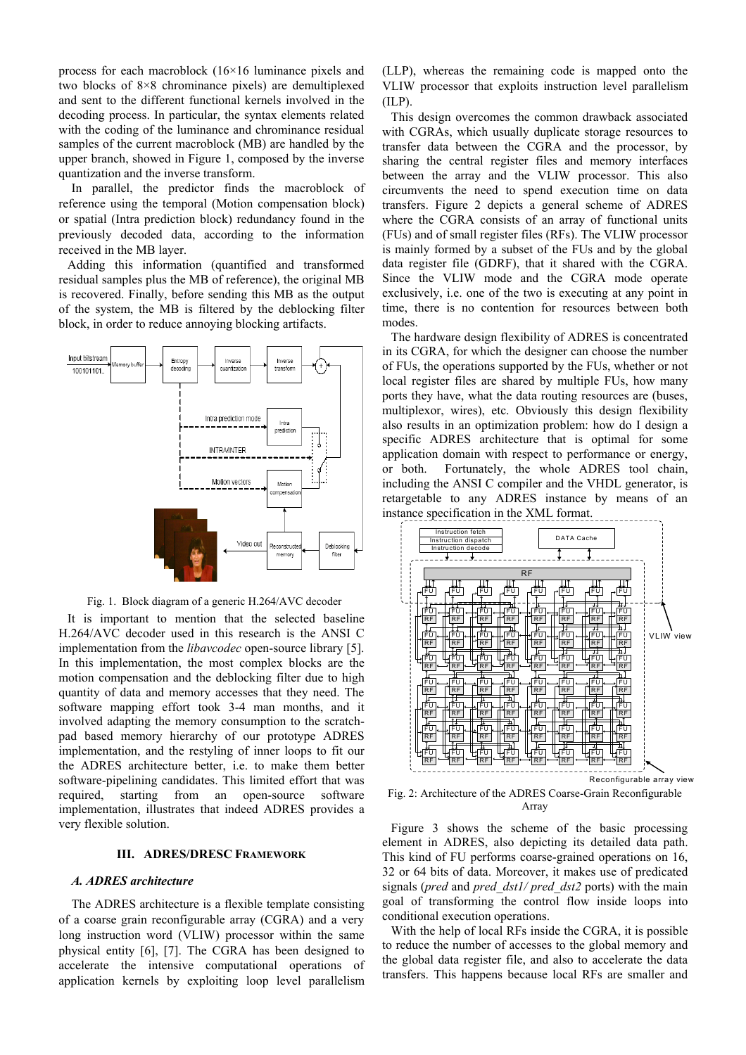process for each macroblock (16×16 luminance pixels and two blocks of 8×8 chrominance pixels) are demultiplexed and sent to the different functional kernels involved in the decoding process. In particular, the syntax elements related with the coding of the luminance and chrominance residual samples of the current macroblock (MB) are handled by the upper branch, showed in Figure 1, composed by the inverse quantization and the inverse transform.

In parallel, the predictor finds the macroblock of reference using the temporal (Motion compensation block) or spatial (Intra prediction block) redundancy found in the previously decoded data, according to the information received in the MB layer.

Adding this information (quantified and transformed residual samples plus the MB of reference), the original MB is recovered. Finally, before sending this MB as the output of the system, the MB is filtered by the deblocking filter block, in order to reduce annoying blocking artifacts.



Fig. 1. Block diagram of a generic H.264/AVC decoder

It is important to mention that the selected baseline H.264/AVC decoder used in this research is the ANSI C implementation from the *libavcodec* open-source library [5]. In this implementation, the most complex blocks are the motion compensation and the deblocking filter due to high quantity of data and memory accesses that they need. The software mapping effort took 3-4 man months, and it involved adapting the memory consumption to the scratchpad based memory hierarchy of our prototype ADRES implementation, and the restyling of inner loops to fit our the ADRES architecture better, i.e. to make them better software-pipelining candidates. This limited effort that was required, starting from an open-source software implementation, illustrates that indeed ADRES provides a very flexible solution.

# **III. ADRES/DRESC FRAMEWORK**

# *A. ADRES architecture*

The ADRES architecture is a flexible template consisting of a coarse grain reconfigurable array (CGRA) and a very long instruction word (VLIW) processor within the same physical entity [6], [7]. The CGRA has been designed to accelerate the intensive computational operations of application kernels by exploiting loop level parallelism

(LLP), whereas the remaining code is mapped onto the VLIW processor that exploits instruction level parallelism (ILP).

This design overcomes the common drawback associated with CGRAs, which usually duplicate storage resources to transfer data between the CGRA and the processor, by sharing the central register files and memory interfaces between the array and the VLIW processor. This also circumvents the need to spend execution time on data transfers. Figure 2 depicts a general scheme of ADRES where the CGRA consists of an array of functional units (FUs) and of small register files (RFs). The VLIW processor is mainly formed by a subset of the FUs and by the global data register file (GDRF), that it shared with the CGRA. Since the VLIW mode and the CGRA mode operate exclusively, i.e. one of the two is executing at any point in time, there is no contention for resources between both modes.

The hardware design flexibility of ADRES is concentrated in its CGRA, for which the designer can choose the number of FUs, the operations supported by the FUs, whether or not local register files are shared by multiple FUs, how many ports they have, what the data routing resources are (buses, multiplexor, wires), etc. Obviously this design flexibility also results in an optimization problem: how do I design a specific ADRES architecture that is optimal for some application domain with respect to performance or energy, or both. Fortunately, the whole ADRES tool chain, including the ANSI C compiler and the VHDL generator, is retargetable to any ADRES instance by means of an instance specification in the XML format.



Fig. 2: Architecture of the ADRES Coarse-Grain Reconfigurable Array

Figure 3 shows the scheme of the basic processing element in ADRES, also depicting its detailed data path. This kind of FU performs coarse-grained operations on 16, 32 or 64 bits of data. Moreover, it makes use of predicated signals (*pred* and *pred\_dst1/ pred\_dst2* ports) with the main goal of transforming the control flow inside loops into conditional execution operations.

With the help of local RFs inside the CGRA, it is possible to reduce the number of accesses to the global memory and the global data register file, and also to accelerate the data transfers. This happens because local RFs are smaller and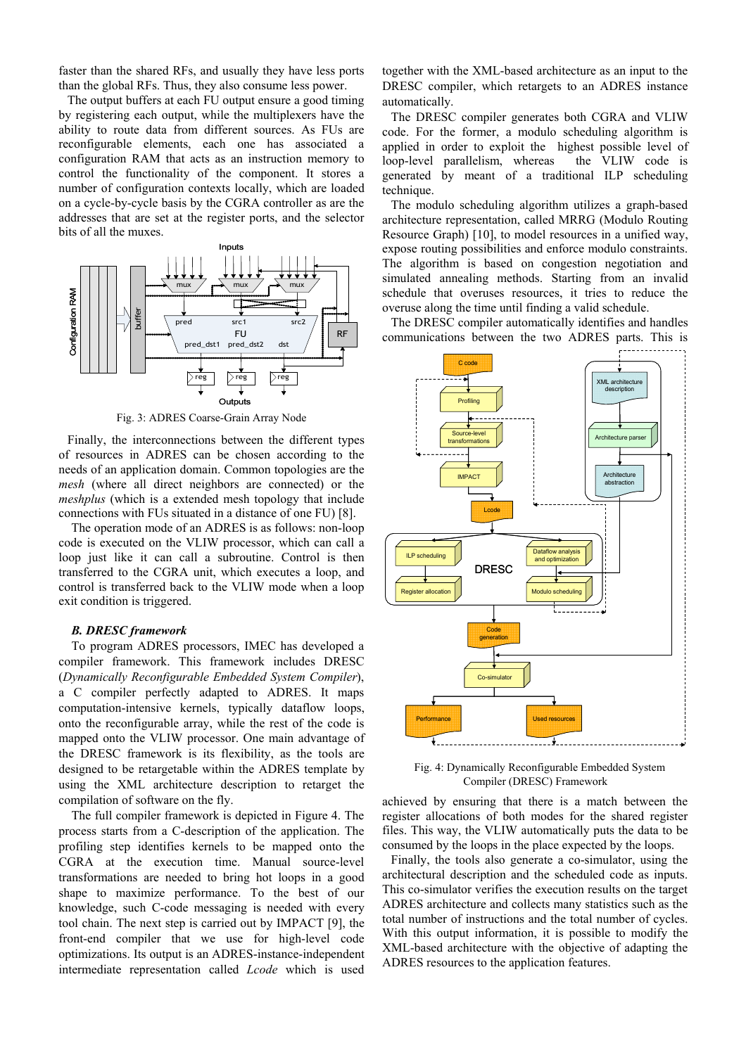faster than the shared RFs, and usually they have less ports than the global RFs. Thus, they also consume less power.

The output buffers at each FU output ensure a good timing by registering each output, while the multiplexers have the ability to route data from different sources. As FUs are reconfigurable elements, each one has associated a configuration RAM that acts as an instruction memory to control the functionality of the component. It stores a number of configuration contexts locally, which are loaded on a cycle-by-cycle basis by the CGRA controller as are the addresses that are set at the register ports, and the selector bits of all the muxes.



Fig. 3: ADRES Coarse-Grain Array Node

Finally, the interconnections between the different types of resources in ADRES can be chosen according to the needs of an application domain. Common topologies are the *mesh* (where all direct neighbors are connected) or the *meshplus* (which is a extended mesh topology that include connections with FUs situated in a distance of one FU) [8].

The operation mode of an ADRES is as follows: non-loop code is executed on the VLIW processor, which can call a loop just like it can call a subroutine. Control is then transferred to the CGRA unit, which executes a loop, and control is transferred back to the VLIW mode when a loop exit condition is triggered.

## *B. DRESC framework*

To program ADRES processors, IMEC has developed a compiler framework. This framework includes DRESC (*Dynamically Reconfigurable Embedded System Compiler*), a C compiler perfectly adapted to ADRES. It maps computation-intensive kernels, typically dataflow loops, onto the reconfigurable array, while the rest of the code is mapped onto the VLIW processor. One main advantage of the DRESC framework is its flexibility, as the tools are designed to be retargetable within the ADRES template by using the XML architecture description to retarget the compilation of software on the fly.

The full compiler framework is depicted in Figure 4. The process starts from a C-description of the application. The profiling step identifies kernels to be mapped onto the CGRA at the execution time. Manual source-level transformations are needed to bring hot loops in a good shape to maximize performance. To the best of our knowledge, such C-code messaging is needed with every tool chain. The next step is carried out by IMPACT [9], the front-end compiler that we use for high-level code optimizations. Its output is an ADRES-instance-independent intermediate representation called *Lcode* which is used

together with the XML-based architecture as an input to the DRESC compiler, which retargets to an ADRES instance automatically.

The DRESC compiler generates both CGRA and VLIW code. For the former, a modulo scheduling algorithm is applied in order to exploit the highest possible level of loop-level parallelism, whereas the VLIW code is generated by meant of a traditional ILP scheduling technique.

The modulo scheduling algorithm utilizes a graph-based architecture representation, called MRRG (Modulo Routing Resource Graph) [10], to model resources in a unified way, expose routing possibilities and enforce modulo constraints. The algorithm is based on congestion negotiation and simulated annealing methods. Starting from an invalid schedule that overuses resources, it tries to reduce the overuse along the time until finding a valid schedule.

The DRESC compiler automatically identifies and handles communications between the two ADRES parts. This is



Fig. 4: Dynamically Reconfigurable Embedded System Compiler (DRESC) Framework

achieved by ensuring that there is a match between the register allocations of both modes for the shared register files. This way, the VLIW automatically puts the data to be consumed by the loops in the place expected by the loops.

Finally, the tools also generate a co-simulator, using the architectural description and the scheduled code as inputs. This co-simulator verifies the execution results on the target ADRES architecture and collects many statistics such as the total number of instructions and the total number of cycles. With this output information, it is possible to modify the XML-based architecture with the objective of adapting the ADRES resources to the application features.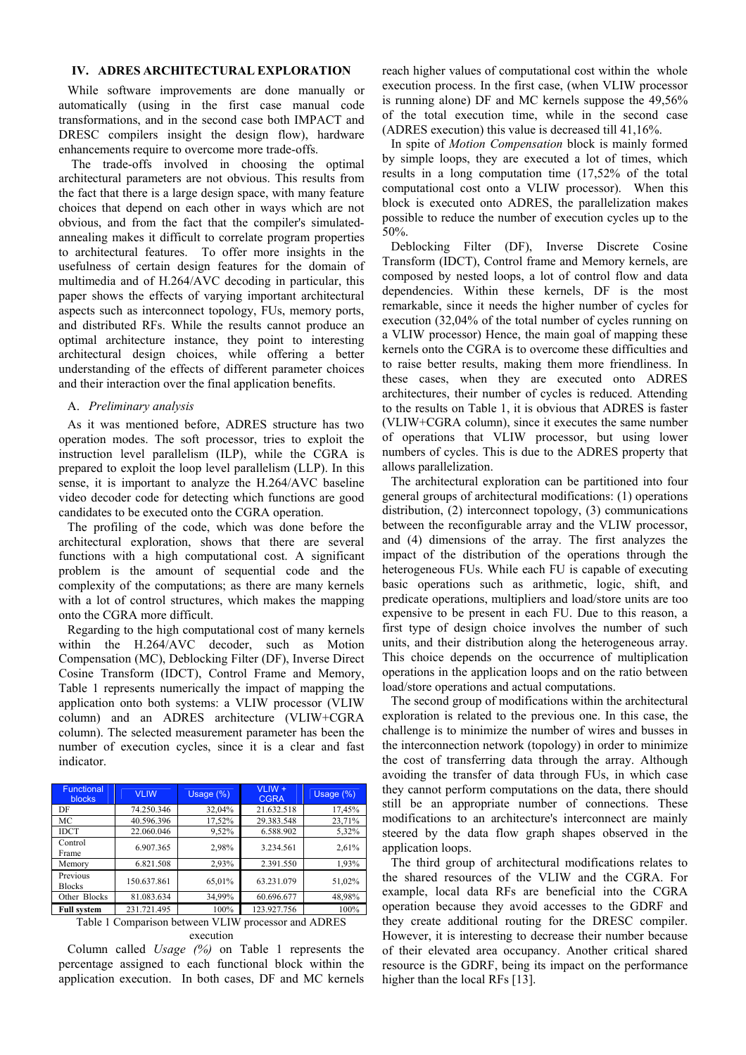# **IV. ADRES ARCHITECTURAL EXPLORATION**

While software improvements are done manually or automatically (using in the first case manual code transformations, and in the second case both IMPACT and DRESC compilers insight the design flow), hardware enhancements require to overcome more trade-offs.

 The trade-offs involved in choosing the optimal architectural parameters are not obvious. This results from the fact that there is a large design space, with many feature choices that depend on each other in ways which are not obvious, and from the fact that the compiler's simulatedannealing makes it difficult to correlate program properties to architectural features. To offer more insights in the usefulness of certain design features for the domain of multimedia and of H.264/AVC decoding in particular, this paper shows the effects of varying important architectural aspects such as interconnect topology, FUs, memory ports, and distributed RFs. While the results cannot produce an optimal architecture instance, they point to interesting architectural design choices, while offering a better understanding of the effects of different parameter choices and their interaction over the final application benefits.

# A. *Preliminary analysis*

As it was mentioned before, ADRES structure has two operation modes. The soft processor, tries to exploit the instruction level parallelism (ILP), while the CGRA is prepared to exploit the loop level parallelism (LLP). In this sense, it is important to analyze the H.264/AVC baseline video decoder code for detecting which functions are good candidates to be executed onto the CGRA operation.

The profiling of the code, which was done before the architectural exploration, shows that there are several functions with a high computational cost. A significant problem is the amount of sequential code and the complexity of the computations; as there are many kernels with a lot of control structures, which makes the mapping onto the CGRA more difficult.

Regarding to the high computational cost of many kernels within the H.264/AVC decoder, such as Motion Compensation (MC), Deblocking Filter (DF), Inverse Direct Cosine Transform (IDCT), Control Frame and Memory, Table 1 represents numerically the impact of mapping the application onto both systems: a VLIW processor (VLIW column) and an ADRES architecture (VLIW+CGRA column). The selected measurement parameter has been the number of execution cycles, since it is a clear and fast indicator.

| <b>Functional</b><br><b>blocks</b> | <b>VLIW</b> | Usage (%)                   | VLIW +<br><b>CGRA</b> | Usage (%) |
|------------------------------------|-------------|-----------------------------|-----------------------|-----------|
| DF                                 | 74.250.346  | 32.04%                      | 21.632.518            | 17,45%    |
| МC                                 | 40.596.396  | 17,52%                      | 29.383.548            | 23,71%    |
| <b>IDCT</b>                        | 22.060.046  | 9,52%                       | 6.588.902             | 5,32%     |
| Control<br>Frame                   | 6.907.365   | 2,98%                       | 3.234.561             | 2,61%     |
| Memory                             | 6.821.508   | 2,93%                       | 2.391.550             | 1,93%     |
| Previous<br><b>Blocks</b>          | 150.637.861 | 65,01%                      | 63.231.079            | 51,02%    |
| Other Blocks                       | 81.083.634  | 34,99%                      | 60.696.677            | 48,98%    |
| ____                               | .           | $\sim$ $\sim$ $\sim$ $\sim$ | $\cdots$              | 100000    |

**Full system** 231.721.495 100% 123.927.756 100% Table 1 Comparison between VLIW processor and ADRES execution

Column called *Usage (%)* on Table 1 represents the percentage assigned to each functional block within the application execution. In both cases, DF and MC kernels reach higher values of computational cost within the whole execution process. In the first case, (when VLIW processor is running alone) DF and MC kernels suppose the 49,56% of the total execution time, while in the second case (ADRES execution) this value is decreased till 41,16%.

In spite of *Motion Compensation* block is mainly formed by simple loops, they are executed a lot of times, which results in a long computation time (17,52% of the total computational cost onto a VLIW processor). When this block is executed onto ADRES, the parallelization makes possible to reduce the number of execution cycles up to the 50%.

Deblocking Filter (DF), Inverse Discrete Cosine Transform (IDCT), Control frame and Memory kernels, are composed by nested loops, a lot of control flow and data dependencies. Within these kernels, DF is the most remarkable, since it needs the higher number of cycles for execution (32,04% of the total number of cycles running on a VLIW processor) Hence, the main goal of mapping these kernels onto the CGRA is to overcome these difficulties and to raise better results, making them more friendliness. In these cases, when they are executed onto ADRES architectures, their number of cycles is reduced. Attending to the results on Table 1, it is obvious that ADRES is faster (VLIW+CGRA column), since it executes the same number of operations that VLIW processor, but using lower numbers of cycles. This is due to the ADRES property that allows parallelization.

The architectural exploration can be partitioned into four general groups of architectural modifications: (1) operations distribution, (2) interconnect topology, (3) communications between the reconfigurable array and the VLIW processor, and (4) dimensions of the array. The first analyzes the impact of the distribution of the operations through the heterogeneous FUs. While each FU is capable of executing basic operations such as arithmetic, logic, shift, and predicate operations, multipliers and load/store units are too expensive to be present in each FU. Due to this reason, a first type of design choice involves the number of such units, and their distribution along the heterogeneous array. This choice depends on the occurrence of multiplication operations in the application loops and on the ratio between load/store operations and actual computations.

The second group of modifications within the architectural exploration is related to the previous one. In this case, the challenge is to minimize the number of wires and busses in the interconnection network (topology) in order to minimize the cost of transferring data through the array. Although avoiding the transfer of data through FUs, in which case they cannot perform computations on the data, there should still be an appropriate number of connections. These modifications to an architecture's interconnect are mainly steered by the data flow graph shapes observed in the application loops.

The third group of architectural modifications relates to the shared resources of the VLIW and the CGRA. For example, local data RFs are beneficial into the CGRA operation because they avoid accesses to the GDRF and they create additional routing for the DRESC compiler. However, it is interesting to decrease their number because of their elevated area occupancy. Another critical shared resource is the GDRF, being its impact on the performance higher than the local RFs [13].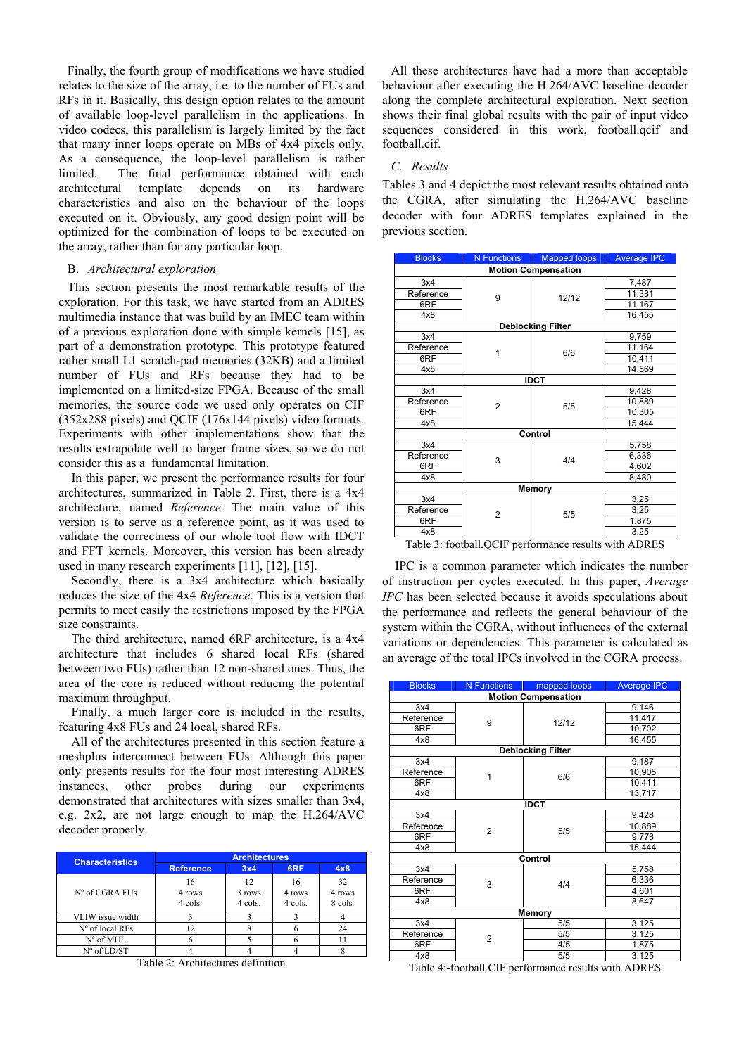Finally, the fourth group of modifications we have studied relates to the size of the array, i.e. to the number of FUs and RFs in it. Basically, this design option relates to the amount of available loop-level parallelism in the applications. In video codecs, this parallelism is largely limited by the fact that many inner loops operate on MBs of 4x4 pixels only. As a consequence, the loop-level parallelism is rather limited. The final performance obtained with each architectural template depends on its hardware characteristics and also on the behaviour of the loops executed on it. Obviously, any good design point will be optimized for the combination of loops to be executed on the array, rather than for any particular loop.

# B. *Architectural exploration*

This section presents the most remarkable results of the exploration. For this task, we have started from an ADRES multimedia instance that was build by an IMEC team within of a previous exploration done with simple kernels [15], as part of a demonstration prototype. This prototype featured rather small L1 scratch-pad memories (32KB) and a limited number of FUs and RFs because they had to be implemented on a limited-size FPGA. Because of the small memories, the source code we used only operates on CIF (352x288 pixels) and QCIF (176x144 pixels) video formats. Experiments with other implementations show that the results extrapolate well to larger frame sizes, so we do not consider this as a fundamental limitation.

In this paper, we present the performance results for four architectures, summarized in Table 2. First, there is a 4x4 architecture, named *Reference*. The main value of this version is to serve as a reference point, as it was used to validate the correctness of our whole tool flow with IDCT and FFT kernels. Moreover, this version has been already used in many research experiments [11], [12], [15].

Secondly, there is a 3x4 architecture which basically reduces the size of the 4x4 *Reference*. This is a version that permits to meet easily the restrictions imposed by the FPGA size constraints.

The third architecture, named 6RF architecture, is a 4x4 architecture that includes 6 shared local RFs (shared between two FUs) rather than 12 non-shared ones. Thus, the area of the core is reduced without reducing the potential maximum throughput.

Finally, a much larger core is included in the results, featuring 4x8 FUs and 24 local, shared RFs.

All of the architectures presented in this section feature a meshplus interconnect between FUs. Although this paper only presents results for the four most interesting ADRES instances, other probes during our experiments demonstrated that architectures with sizes smaller than 3x4, e.g. 2x2, are not large enough to map the H.264/AVC decoder properly.

| <b>Characteristics</b> | <b>Architectures</b>    |                         |                         |                         |  |
|------------------------|-------------------------|-------------------------|-------------------------|-------------------------|--|
|                        | <b>Reference</b>        | 3x4                     | 6RF                     | 4x8                     |  |
| N° of CGRA FUs         | 16<br>4 rows<br>4 cols. | 12<br>3 rows<br>4 cols. | 16<br>4 rows<br>4 cols. | 32<br>4 rows<br>8 cols. |  |
| VLIW issue width       |                         |                         |                         |                         |  |
| $No$ of local RFs      | 12                      |                         |                         |                         |  |
| $N^{\circ}$ of MUL     |                         |                         |                         |                         |  |
| $N^{\circ}$ of LD/ST   |                         |                         |                         |                         |  |

Table 2: Architectures definition

All these architectures have had a more than acceptable behaviour after executing the H.264/AVC baseline decoder along the complete architectural exploration. Next section shows their final global results with the pair of input video sequences considered in this work, football.qcif and football.cif.

# *C. Results*

Tables 3 and 4 depict the most relevant results obtained onto the CGRA, after simulating the H.264/AVC baseline decoder with four ADRES templates explained in the previous section.

| <b>Blocks</b>                             | N Functions                   | <b>Mapped loops</b>      | <b>Average IPC</b>         |  |  |  |
|-------------------------------------------|-------------------------------|--------------------------|----------------------------|--|--|--|
| <b>Motion Compensation</b>                |                               |                          |                            |  |  |  |
| 3x4                                       |                               | 12/12                    | 7,487                      |  |  |  |
| Reference                                 | 9                             |                          | 11,381                     |  |  |  |
| 6RF                                       |                               |                          | 11,167                     |  |  |  |
| 4x8                                       |                               |                          | 16,455                     |  |  |  |
|                                           |                               | <b>Deblocking Filter</b> |                            |  |  |  |
| 3x4                                       |                               |                          | 9,759                      |  |  |  |
| Reference                                 | 1                             | 6/6                      | 11,164                     |  |  |  |
| 6RF                                       |                               |                          | 10,411                     |  |  |  |
| 4x8                                       |                               |                          | 14,569                     |  |  |  |
| <b>IDCT</b>                               |                               |                          |                            |  |  |  |
| 3x4                                       |                               | 5/5                      | 9,428                      |  |  |  |
| Reference                                 | $\overline{2}$                |                          | 10,889                     |  |  |  |
| 6RF                                       |                               |                          | 10,305                     |  |  |  |
| 4x8                                       |                               |                          | 15,444                     |  |  |  |
| Control                                   |                               |                          |                            |  |  |  |
| 3x4                                       |                               |                          | 5,758                      |  |  |  |
| Reference                                 | 3                             | 4/4                      | 6,336                      |  |  |  |
| 6RF                                       |                               |                          | 4,602                      |  |  |  |
| 4x8                                       |                               |                          | 8,480                      |  |  |  |
| Memory                                    |                               |                          |                            |  |  |  |
| 3x4                                       |                               | 5/5                      | 3,25                       |  |  |  |
| Reference                                 | $\overline{2}$                |                          | 3,25                       |  |  |  |
| 6RF                                       |                               |                          | 1,875                      |  |  |  |
| 4x8                                       |                               |                          | 3,25                       |  |  |  |
| $\mathbf{m}$ 11 $\mathbf{a}$ $\mathbf{c}$ | $\sim$<br>$\cdot$ 1<br>11.0mm | $\blacksquare$           | $\mathbf{r}$<br>$\sqrt{D}$ |  |  |  |

Table 3: football.QCIF performance results with ADRES

IPC is a common parameter which indicates the number of instruction per cycles executed. In this paper, *Average IPC* has been selected because it avoids speculations about the performance and reflects the general behaviour of the system within the CGRA, without influences of the external variations or dependencies. This parameter is calculated as an average of the total IPCs involved in the CGRA process.

| <b>Blocks</b>              | <b>N</b> Functions | mapped loops             | <b>Average IPC</b> |  |  |
|----------------------------|--------------------|--------------------------|--------------------|--|--|
| <b>Motion Compensation</b> |                    |                          |                    |  |  |
| 3x4                        |                    | 12/12                    | 9,146              |  |  |
| Reference                  | 9                  |                          | 11,417             |  |  |
| 6RF                        |                    |                          | 10,702             |  |  |
| 4x8                        |                    |                          | 16,455             |  |  |
|                            |                    | <b>Deblocking Filter</b> |                    |  |  |
| 3x4                        |                    |                          | 9,187              |  |  |
| Reference                  | 1                  | 6/6                      | 10,905             |  |  |
| 6RF                        |                    |                          | 10,411             |  |  |
| 4x8                        |                    |                          | 13,717             |  |  |
| <b>IDCT</b>                |                    |                          |                    |  |  |
| 3x4                        |                    | 5/5                      | 9,428              |  |  |
| Reference                  | $\overline{2}$     |                          | 10,889             |  |  |
| 6RF                        |                    |                          | 9,778              |  |  |
| 4x8                        |                    |                          | 15,444             |  |  |
| Control                    |                    |                          |                    |  |  |
| 3x4                        |                    | 4/4                      | 5,758              |  |  |
| Reference                  | 3                  |                          | 6,336              |  |  |
| 6RF                        |                    |                          | 4,601              |  |  |
| 4x8                        |                    |                          | 8,647              |  |  |
| Memory                     |                    |                          |                    |  |  |
| 3x4                        |                    | 5/5                      | 3,125              |  |  |
| Reference                  | $\overline{2}$     | 5/5                      | 3,125              |  |  |
| 6RF                        |                    | 4/5                      | 1,875              |  |  |
| 4x8                        |                    | 5/5                      | 3,125              |  |  |

Table 4:-football.CIF performance results with ADRES